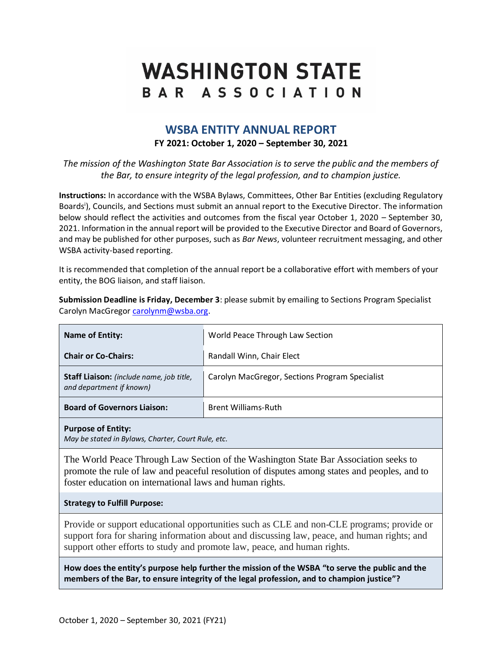# **WASHINGTON STATE** BAR ASSOCIATION

# **WSBA ENTITY ANNUAL REPORT FY 2021: October 1, 2020 – September 30, 2021**

*The mission of the Washington State Bar Association is to serve the public and the members of the Bar, to ensure integrity of the legal profession, and to champion justice.*

**Instructions:** In accordance with the WSBA Bylaws, Committees, Other Bar Entities (excluding Regulatory Boards<sup>i</sup>), Councils, and Sections must submit an annual report to the Executive Director. The information below should reflect the activities and outcomes from the fiscal year October 1, 2020 – September 30, 2021. Information in the annual report will be provided to the Executive Director and Board of Governors, and may be published for other purposes, such as *Bar News*, volunteer recruitment messaging, and other WSBA activity-based reporting.

It is recommended that completion of the annual report be a collaborative effort with members of your entity, the BOG liaison, and staff liaison.

**Submission Deadline is Friday, December 3**: please submit by emailing to Sections Program Specialist Carolyn MacGregor [carolynm@wsba.org.](mailto:carolynm@wsba.org)

| <b>Name of Entity:</b>                                               | World Peace Through Law Section                |
|----------------------------------------------------------------------|------------------------------------------------|
| <b>Chair or Co-Chairs:</b>                                           | Randall Winn, Chair Elect                      |
| Staff Liaison: (include name, job title,<br>and department if known) | Carolyn MacGregor, Sections Program Specialist |
| <b>Board of Governors Liaison:</b>                                   | <b>Brent Williams-Ruth</b>                     |
| <b>Purpose of Entity:</b>                                            |                                                |

*May be stated in Bylaws, Charter, Court Rule, etc.*

The World Peace Through Law Section of the Washington State Bar Association seeks to promote the rule of law and peaceful resolution of disputes among states and peoples, and to foster education on international laws and human rights.

#### **Strategy to Fulfill Purpose:**

Provide or support educational opportunities such as CLE and non-CLE programs; provide or support fora for sharing information about and discussing law, peace, and human rights; and support other efforts to study and promote law, peace, and human rights.

**How does the entity's purpose help further the mission of the WSBA "to serve the public and the members of the Bar, to ensure integrity of the legal profession, and to champion justice"?**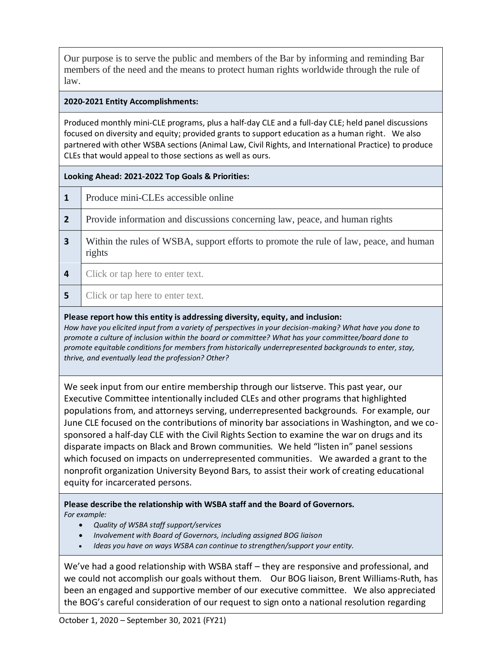Our purpose is to serve the public and members of the Bar by informing and reminding Bar members of the need and the means to protect human rights worldwide through the rule of law.

## **2020-2021 Entity Accomplishments:**

Produced monthly mini-CLE programs, plus a half-day CLE and a full-day CLE; held panel discussions focused on diversity and equity; provided grants to support education as a human right. We also partnered with other WSBA sections (Animal Law, Civil Rights, and International Practice) to produce CLEs that would appeal to those sections as well as ours.

## **Looking Ahead: 2021-2022 Top Goals & Priorities:**

|  | Produce mini-CLEs accessible online |
|--|-------------------------------------|
|--|-------------------------------------|

- **2** Provide information and discussions concerning law, peace, and human rights
- **3** Within the rules of WSBA, support efforts to promote the rule of law, peace, and human rights
- **4** Click or tap here to enter text.
- **5** Click or tap here to enter text.

#### **Please report how this entity is addressing diversity, equity, and inclusion:**

*How have you elicited input from a variety of perspectives in your decision-making? What have you done to promote a culture of inclusion within the board or committee? What has your committee/board done to promote equitable conditions for members from historically underrepresented backgrounds to enter, stay, thrive, and eventually lead the profession? Other?*

We seek input from our entire membership through our listserve. This past year, our Executive Committee intentionally included CLEs and other programs that highlighted populations from, and attorneys serving, underrepresented backgrounds. For example, our June CLE focused on the contributions of minority bar associations in Washington, and we cosponsored a half-day CLE with the Civil Rights Section to examine the war on drugs and its disparate impacts on Black and Brown communities. We held "listen in" panel sessions which focused on impacts on underrepresented communities. We awarded a grant to the nonprofit organization University Beyond Bars, to assist their work of creating educational equity for incarcerated persons.

**Please describe the relationship with WSBA staff and the Board of Governors.**  *For example:* 

- *Quality of WSBA staff support/services*
- *Involvement with Board of Governors, including assigned BOG liaison*
- *Ideas you have on ways WSBA can continue to strengthen/support your entity.*

We've had a good relationship with WSBA staff – they are responsive and professional, and we could not accomplish our goals without them. Our BOG liaison, Brent Williams-Ruth, has been an engaged and supportive member of our executive committee. We also appreciated the BOG's careful consideration of our request to sign onto a national resolution regarding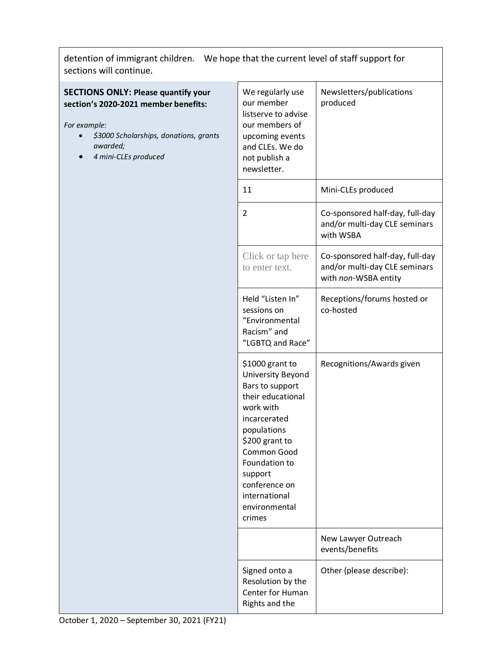detention of immigrant children. We hope that the current level of staff support for sections will continue.

## **SECTIONS ONLY: Please quantify your section's 2020-2021 member benefits:**

*For example:*

- *\$3000 Scholarships, donations, grants awarded;*
- *4 mini-CLEs produced*

| We regularly use<br>our member<br>listserve to advise<br>our members of<br>upcoming events<br>and CLEs. We do<br>not publish a<br>newsletter.                                                                                                      | Newsletters/publications<br>produced                                                     |
|----------------------------------------------------------------------------------------------------------------------------------------------------------------------------------------------------------------------------------------------------|------------------------------------------------------------------------------------------|
| 11                                                                                                                                                                                                                                                 | Mini-CLEs produced                                                                       |
| 2                                                                                                                                                                                                                                                  | Co-sponsored half-day, full-day<br>and/or multi-day CLE seminars<br>with WSBA            |
| Click or tap here<br>to enter text.                                                                                                                                                                                                                | Co-sponsored half-day, full-day<br>and/or multi-day CLE seminars<br>with non-WSBA entity |
| Held "Listen In"<br>sessions on<br>"Environmental<br>Racism" and<br>"LGBTQ and Race"                                                                                                                                                               | Receptions/forums hosted or<br>co-hosted                                                 |
| \$1000 grant to<br>University Beyond<br>Bars to support<br>their educational<br>work with<br>incarcerated<br>populations<br>\$200 grant to<br>Common Good<br>Foundation to<br>support<br>conference on<br>international<br>environmental<br>crimes | Recognitions/Awards given                                                                |
|                                                                                                                                                                                                                                                    | New Lawyer Outreach<br>events/benefits                                                   |
| Signed onto a<br>Resolution by the<br>Center for Human<br>Rights and the                                                                                                                                                                           | Other (please describe):                                                                 |